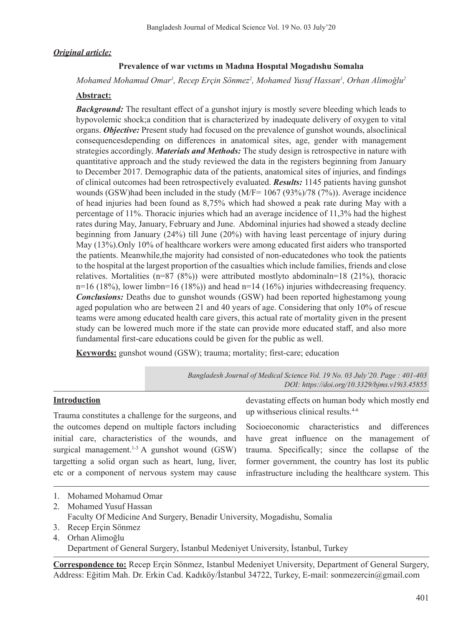# *Original article:*

### **Prevalence of war vıctıms ın Madına Hospıtal Mogadıshu Somalıa**

*Mohamed Mohamud Omar1 , Recep Erçin Sönmez<sup>2</sup> , Mohamed Yusuf Hassan1 , Orhan Alimoğlu<sup>2</sup>*

#### **Abstract:**

*Background:* The resultant effect of a gunshot injury is mostly severe bleeding which leads to hypovolemic shock;a condition that is characterized by inadequate delivery of oxygen to vital organs. *Objective:* Present study had focused on the prevalence of gunshot wounds, alsoclinical consequencesdepending on differences in anatomical sites, age, gender with management strategies accordingly. *Materials and Methods:* The study design is retrospective in nature with quantitative approach and the study reviewed the data in the registers beginning from January to December 2017. Demographic data of the patients, anatomical sites of injuries, and findings of clinical outcomes had been retrospectively evaluated. *Results:* 1145 patients having gunshot wounds (GSW)had been included in the study (M/F= 1067 (93%)/78 (7%)). Average incidence of head injuries had been found as 8,75% which had showed a peak rate during May with a percentage of 11%. Thoracic injuries which had an average incidence of 11,3% had the highest rates during May, January, February and June. Abdominal injuries had showed a steady decline beginning from January (24%) till June (20%) with having least percentage of injury during May (13%).Only 10% of healthcare workers were among educated first aiders who transported the patients. Meanwhile,the majority had consisted of non-educatedones who took the patients to the hospital at the largest proportion of the casualties which include families, friends and close relatives. Mortalities  $(n=87 (8%))$  were attributed mostlyto abdominaln=18 (21%), thoracic n=16 (18%), lower limbn=16 (18%)) and head n=14 (16%) injuries withdecreasing frequency. *Conclusions:* Deaths due to gunshot wounds (GSW) had been reported highestamong young aged population who are between 21 and 40 years of age. Considering that only 10% of rescue teams were among educated health care givers, this actual rate of mortality given in the present study can be lowered much more if the state can provide more educated staff, and also more fundamental first-care educations could be given for the public as well.

**Keywords:** gunshot wound (GSW); trauma; mortality; first-care; education

*Bangladesh Journal of Medical Science Vol. 19 No. 03 July'20. Page : 401-403 DOI: https://doi.org/10.3329/bjms.v19i3.45855*

### **Introduction**

Trauma constitutes a challenge for the surgeons, and the outcomes depend on multiple factors including initial care, characteristics of the wounds, and surgical management.<sup>1-3</sup> A gunshot wound  $(GSW)$ targetting a solid organ such as heart, lung, liver, etc or a component of nervous system may cause

devastating effects on human body which mostly end up withserious clinical results.4-6

Socioeconomic characteristics and differences have great influence on the management of trauma. Specifically; since the collapse of the former government, the country has lost its public infrastructure including the healthcare system. This

- 1. Mohamed Mohamud Omar
- 2. Mohamed Yusuf Hassan
- Faculty Of Medicine And Surgery, Benadir University, Mogadishu, Somalia
- 3. Recep Erçin Sönmez
- 4. Orhan Alimoğlu Department of General Surgery, İstanbul Medeniyet University, İstanbul, Turkey

**Correspondence to:** Recep Erçin Sönmez, Istanbul Medeniyet University, Department of General Surgery, Address: Eğitim Mah. Dr. Erkin Cad. Kadıköy/İstanbul 34722, Turkey, E-mail: sonmezercin@gmail.com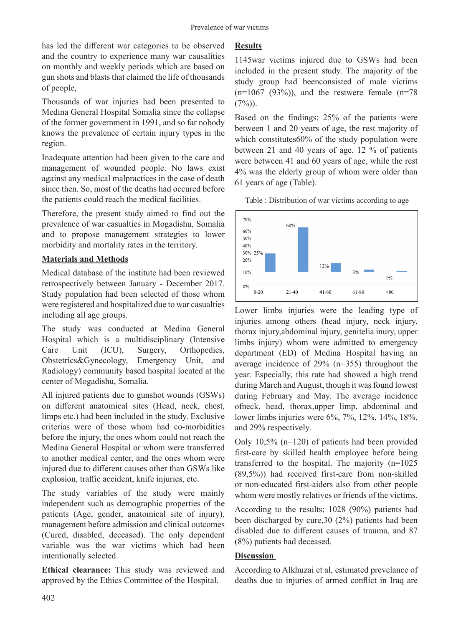has led the different war categories to be observed and the country to experience many war causalities on monthly and weekly periods which are based on gun shots and blasts that claimed the life of thousands of people,

Thousands of war injuries had been presented to Medina General Hospital Somalia since the collapse of the former government in 1991, and so far nobody knows the prevalence of certain injury types in the region.

Inadequate attention had been given to the care and management of wounded people. No laws exist against any medical malpractices in the case of death since then. So, most of the deaths had occured before the patients could reach the medical facilities.

Therefore, the present study aimed to find out the prevalence of war casualties in Mogadishu, Somalia and to propose management strategies to lower morbidity and mortality rates in the territory.

## **Materials and Methods**

Medical database of the institute had been reviewed retrospectively between January - December 2017. Study population had been selected of those whom were registered and hospitalized due to war casualties including all age groups.

The study was conducted at Medina General Hospital which is a multidisciplinary (Intensive Care Unit (ICU), Surgery, Orthopedics, Obstetrics&Gynecology, Emergency Unit, and Radiology) community based hospital located at the center of Mogadishu, Somalia.

All injured patients due to gunshot wounds (GSWs) on different anatomical sites (Head, neck, chest, limps etc.) had been included in the study. Exclusive criterias were of those whom had co-morbidities before the injury, the ones whom could not reach the Medina General Hospital or whom were transferred to another medical center, and the ones whom were injured due to different causes other than GSWs like explosion, traffic accident, knife injuries, etc.

The study variables of the study were mainly independent such as demographic properties of the patients (Age, gender, anatomical site of injury), management before admission and clinical outcomes (Cured, disabled, deceased). The only dependent variable was the war victims which had been intentionally selected.

**Ethical clearance:** This study was reviewed and approved by the Ethics Committee of the Hospital.

# **Results**

1145war victims injured due to GSWs had been included in the present study. The majority of the study group had beenconsisted of male victims  $(n=1067 (93\%))$ , and the restwere female  $(n=78$  $(7%)$ ).

Based on the findings; 25% of the patients were between 1 and 20 years of age, the rest majority of which constitutes 60% of the study population were between 21 and 40 years of age. 12 % of patients were between 41 and 60 years of age, while the rest 4% was the elderly group of whom were older than 61 years of age (Table).

Table : Distribution of war victims according to age



Lower limbs injuries were the leading type of injuries among others (head injury, neck injury, thorax injury,abdominal injury, genitelia inury, upper limbs injury) whom were admitted to emergency department (ED) of Medina Hospital having an average incidence of 29% (n=355) throughout the year. Especially, this rate had showed a high trend during March and August, though it was found lowest during February and May. The average incidence ofneck, head, thorax,upper limp, abdominal and lower limbs injuries were 6%, 7%, 12%, 14%, 18%, and 29% respectively.

Only 10,5% (n=120) of patients had been provided first-care by skilled health employee before being transferred to the hospital. The majority (n=1025 (89,5%)) had received first-care from non-skilled or non-educated first-aiders also from other people whom were mostly relatives or friends of the victims.

According to the results; 1028 (90%) patients had been discharged by cure,30 (2%) patients had been disabled due to different causes of trauma, and 87 (8%) patients had deceased.

## **Discussion**

According to Alkhuzai et al, estimated prevelance of deaths due to injuries of armed conflict in Iraq are